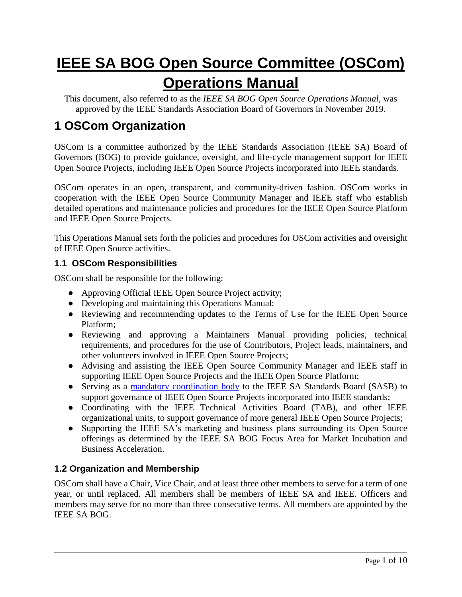# **IEEE SA BOG Open Source Committee (OSCom) Operations Manual**

This document, also referred to as the *IEEE SA BOG Open Source Operations Manual*, was approved by the IEEE Standards Association Board of Governors in November 2019.

# **1 OSCom Organization**

OSCom is a committee authorized by the IEEE Standards Association (IEEE SA) Board of Governors (BOG) to provide guidance, oversight, and life-cycle management support for IEEE Open Source Projects, including IEEE Open Source Projects incorporated into IEEE standards.

OSCom operates in an open, transparent, and community-driven fashion. OSCom works in cooperation with the IEEE Open Source Community Manager and IEEE staff who establish detailed operations and maintenance policies and procedures for the IEEE Open Source Platform and IEEE Open Source Projects.

This Operations Manual sets forth the policies and procedures for OSCom activities and oversight of IEEE Open Source activities.

### **1.1 OSCom Responsibilities**

OSCom shall be responsible for the following:

- Approving Official IEEE Open Source Project activity;
- Developing and maintaining this Operations Manual;
- Reviewing and recommending updates to the Terms of Use for the IEEE Open Source Platform;
- Reviewing and approving a Maintainers Manual providing policies, technical requirements, and procedures for the use of Contributors, Project leads, maintainers, and other volunteers involved in IEEE Open Source Projects;
- Advising and assisting the IEEE Open Source Community Manager and IEEE staff in supporting IEEE Open Source Projects and the IEEE Open Source Platform;
- Serving as a [mandatory coordination body](https://standards.ieee.org/about/policies/opman/sect5.html#5.4.4) to the IEEE SA Standards Board (SASB) to support governance of IEEE Open Source Projects incorporated into IEEE standards;
- Coordinating with the IEEE Technical Activities Board (TAB), and other IEEE organizational units, to support governance of more general IEEE Open Source Projects;
- Supporting the IEEE SA's marketing and business plans surrounding its Open Source offerings as determined by the IEEE SA BOG Focus Area for Market Incubation and Business Acceleration.

# **1.2 Organization and Membership**

OSCom shall have a Chair, Vice Chair, and at least three other members to serve for a term of one year, or until replaced. All members shall be members of IEEE SA and IEEE. Officers and members may serve for no more than three consecutive terms. All members are appointed by the IEEE SA BOG.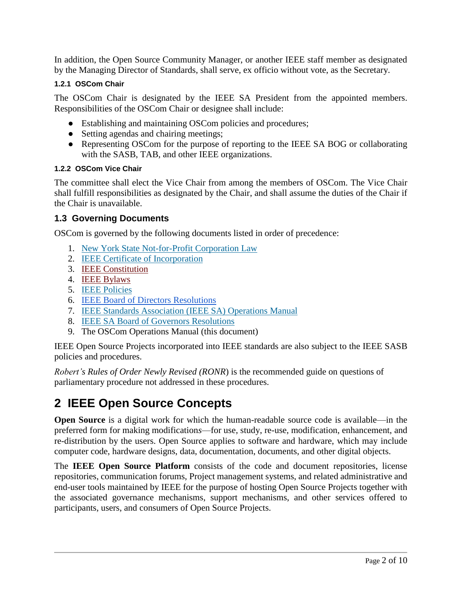In addition, the Open Source Community Manager, or another IEEE staff member as designated by the Managing Director of Standards, shall serve, ex officio without vote, as the Secretary.

#### **1.2.1 OSCom Chair**

The OSCom Chair is designated by the IEEE SA President from the appointed members. Responsibilities of the OSCom Chair or designee shall include:

- Establishing and maintaining OSCom policies and procedures;
- Setting agendas and chairing meetings;
- Representing OSCom for the purpose of reporting to the IEEE SA BOG or collaborating with the SASB, TAB, and other IEEE organizations.

#### **1.2.2 OSCom Vice Chair**

The committee shall elect the Vice Chair from among the members of OSCom. The Vice Chair shall fulfill responsibilities as designated by the Chair, and shall assume the duties of the Chair if the Chair is unavailable.

#### **1.3 Governing Documents**

OSCom is governed by the following documents listed in order of precedence:

- 1. [New York State Not-for-Profit Corporation Law](http://law.justia.com/newyork/codes/not-for-profit-corporation/)
- 2. [IEEE Certificate of Incorporation](https://www.ieee.org/documents/01-05-1993_Certificate_of_Incorporation.pdf)
- 3. [IEEE Constitution](https://www.ieee.org/about/corporate/governance/constitution.html)
- 4. [IEEE Bylaws](https://www.ieee.org/documents/ieee_constitution_and_bylaws.pdf)
- 5. [IEEE Policies](https://www.ieee.org/documents/ieee_policies.pdf)
- 6. [IEEE Board of Directors Resolutions](https://www.ieee.org/about/corporate/action.html)
- 7. [IEEE Standards Association \(IEEE SA\) Operations Manual](http://standards.ieee.org/sa/sa-om-main.html)
- 8. [IEEE SA Board of Governors Resolutions](https://standards.ieee.org/about/bog/resolutions.html)
- 9. The OSCom Operations Manual (this document)

IEEE Open Source Projects incorporated into IEEE standards are also subject to the IEEE SASB policies and procedures.

*Robert's Rules of Order Newly Revised (RONR*) is the recommended guide on questions of parliamentary procedure not addressed in these procedures.

# **2 IEEE Open Source Concepts**

**Open Source** is a digital work for which the human-readable source code is available—in the preferred form for making modification*s*—for use, study, re-use, modification, enhancement, and re-distribution by the users. Open Source applies to software and hardware, which may include computer code, hardware designs, data, documentation, documents, and other digital objects.

The **IEEE Open Source Platform** consists of the code and document repositories, license repositories, communication forums, Project management systems, and related administrative and end-user tools maintained by IEEE for the purpose of hosting Open Source Projects together with the associated governance mechanisms, support mechanisms, and other services offered to participants, users, and consumers of Open Source Projects.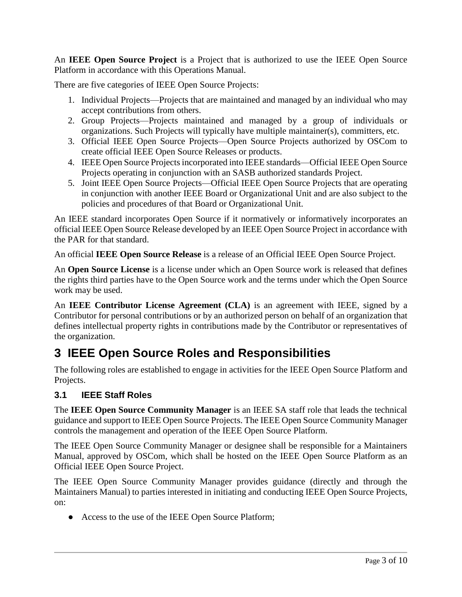An **IEEE Open Source Project** is a Project that is authorized to use the IEEE Open Source Platform in accordance with this Operations Manual.

There are five categories of IEEE Open Source Projects:

- 1. Individual Projects—Projects that are maintained and managed by an individual who may accept contributions from others.
- 2. Group Projects—Projects maintained and managed by a group of individuals or organizations. Such Projects will typically have multiple maintainer(s), committers, etc.
- 3. Official IEEE Open Source Projects—Open Source Projects authorized by OSCom to create official IEEE Open Source Releases or products.
- 4. IEEE Open Source Projectsincorporated into IEEE standards—Official IEEE Open Source Projects operating in conjunction with an SASB authorized standards Project.
- 5. Joint IEEE Open Source Projects—Official IEEE Open Source Projects that are operating in conjunction with another IEEE Board or Organizational Unit and are also subject to the policies and procedures of that Board or Organizational Unit.

An IEEE standard incorporates Open Source if it normatively or informatively incorporates an official IEEE Open Source Release developed by an IEEE Open Source Project in accordance with the PAR for that standard.

An official **IEEE Open Source Release** is a release of an Official IEEE Open Source Project.

An **Open Source License** is a license under which an Open Source work is released that defines the rights third parties have to the Open Source work and the terms under which the Open Source work may be used.

An **IEEE Contributor License Agreement (CLA)** is an agreement with IEEE, signed by a Contributor for personal contributions or by an authorized person on behalf of an organization that defines intellectual property rights in contributions made by the Contributor or representatives of the organization.

# **3 IEEE Open Source Roles and Responsibilities**

The following roles are established to engage in activities for the IEEE Open Source Platform and Projects.

### **3.1 IEEE Staff Roles**

The **IEEE Open Source Community Manager** is an IEEE SA staff role that leads the technical guidance and support to IEEE Open Source Projects. The IEEE Open Source Community Manager controls the management and operation of the IEEE Open Source Platform.

The IEEE Open Source Community Manager or designee shall be responsible for a Maintainers Manual, approved by OSCom, which shall be hosted on the IEEE Open Source Platform as an Official IEEE Open Source Project.

The IEEE Open Source Community Manager provides guidance (directly and through the Maintainers Manual) to parties interested in initiating and conducting IEEE Open Source Projects, on:

• Access to the use of the IEEE Open Source Platform;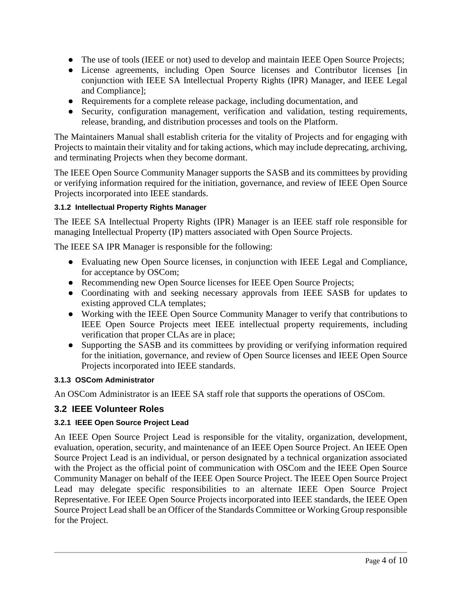- The use of tools (IEEE or not) used to develop and maintain IEEE Open Source Projects;
- License agreements, including Open Source licenses and Contributor licenses [in conjunction with IEEE SA Intellectual Property Rights (IPR) Manager, and IEEE Legal and Compliance];
- Requirements for a complete release package, including documentation, and
- Security, configuration management, verification and validation, testing requirements, release, branding, and distribution processes and tools on the Platform.

The Maintainers Manual shall establish criteria for the vitality of Projects and for engaging with Projects to maintain their vitality and for taking actions, which may include deprecating, archiving, and terminating Projects when they become dormant.

The IEEE Open Source Community Manager supports the SASB and its committees by providing or verifying information required for the initiation, governance, and review of IEEE Open Source Projects incorporated into IEEE standards.

#### **3.1.2 Intellectual Property Rights Manager**

The IEEE SA Intellectual Property Rights (IPR) Manager is an IEEE staff role responsible for managing Intellectual Property (IP) matters associated with Open Source Projects.

The IEEE SA IPR Manager is responsible for the following:

- Evaluating new Open Source licenses, in conjunction with IEEE Legal and Compliance, for acceptance by OSCom;
- Recommending new Open Source licenses for IEEE Open Source Projects;
- Coordinating with and seeking necessary approvals from IEEE SASB for updates to existing approved CLA templates;
- Working with the IEEE Open Source Community Manager to verify that contributions to IEEE Open Source Projects meet IEEE intellectual property requirements, including verification that proper CLAs are in place;
- Supporting the SASB and its committees by providing or verifying information required for the initiation, governance, and review of Open Source licenses and IEEE Open Source Projects incorporated into IEEE standards.

#### **3.1.3 OSCom Administrator**

An OSCom Administrator is an IEEE SA staff role that supports the operations of OSCom.

### **3.2 IEEE Volunteer Roles**

#### **3.2.1 IEEE Open Source Project Lead**

An IEEE Open Source Project Lead is responsible for the vitality, organization, development, evaluation, operation, security, and maintenance of an IEEE Open Source Project. An IEEE Open Source Project Lead is an individual, or person designated by a technical organization associated with the Project as the official point of communication with OSCom and the IEEE Open Source Community Manager on behalf of the IEEE Open Source Project. The IEEE Open Source Project Lead may delegate specific responsibilities to an alternate IEEE Open Source Project Representative. For IEEE Open Source Projects incorporated into IEEE standards, the IEEE Open Source Project Lead shall be an Officer of the Standards Committee or Working Group responsible for the Project.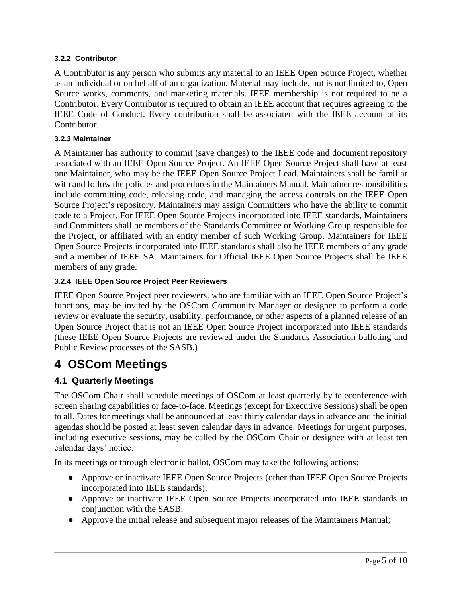#### **3.2.2 Contributor**

A Contributor is any person who submits any material to an IEEE Open Source Project, whether as an individual or on behalf of an organization. Material may include, but is not limited to, Open Source works, comments, and marketing materials. IEEE membership is not required to be a Contributor. Every Contributor is required to obtain an IEEE account that requires agreeing to the IEEE Code of Conduct. Every contribution shall be associated with the IEEE account of its Contributor.

#### **3.2.3 Maintainer**

A Maintainer has authority to commit (save changes) to the IEEE code and document repository associated with an IEEE Open Source Project. An IEEE Open Source Project shall have at least one Maintainer, who may be the IEEE Open Source Project Lead. Maintainers shall be familiar with and follow the policies and procedures in the Maintainers Manual. Maintainer responsibilities include committing code, releasing code, and managing the access controls on the IEEE Open Source Project's repository. Maintainers may assign Committers who have the ability to commit code to a Project. For IEEE Open Source Projects incorporated into IEEE standards, Maintainers and Committers shall be members of the Standards Committee or Working Group responsible for the Project, or affiliated with an entity member of such Working Group. Maintainers for IEEE Open Source Projects incorporated into IEEE standards shall also be IEEE members of any grade and a member of IEEE SA. Maintainers for Official IEEE Open Source Projects shall be IEEE members of any grade.

#### **3.2.4 IEEE Open Source Project Peer Reviewers**

IEEE Open Source Project peer reviewers, who are familiar with an IEEE Open Source Project's functions, may be invited by the OSCom Community Manager or designee to perform a code review or evaluate the security, usability, performance, or other aspects of a planned release of an Open Source Project that is not an IEEE Open Source Project incorporated into IEEE standards (these IEEE Open Source Projects are reviewed under the Standards Association balloting and Public Review processes of the SASB.)

# **4 OSCom Meetings**

### **4.1 Quarterly Meetings**

The OSCom Chair shall schedule meetings of OSCom at least quarterly by teleconference with screen sharing capabilities or face-to-face. Meetings (except for Executive Sessions) shall be open to all. Dates for meetings shall be announced at least thirty calendar days in advance and the initial agendas should be posted at least seven calendar days in advance. Meetings for urgent purposes, including executive sessions, may be called by the OSCom Chair or designee with at least ten calendar days' notice.

In its meetings or through electronic ballot, OSCom may take the following actions:

- Approve or inactivate IEEE Open Source Projects (other than IEEE Open Source Projects incorporated into IEEE standards);
- Approve or inactivate IEEE Open Source Projects incorporated into IEEE standards in conjunction with the SASB;
- Approve the initial release and subsequent major releases of the Maintainers Manual;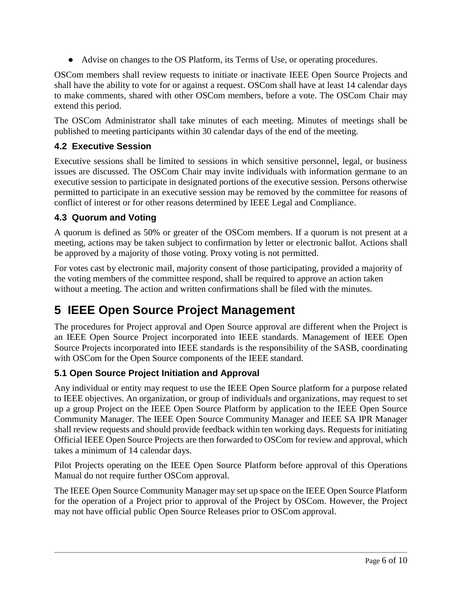● Advise on changes to the OS Platform, its Terms of Use, or operating procedures.

OSCom members shall review requests to initiate or inactivate IEEE Open Source Projects and shall have the ability to vote for or against a request. OSCom shall have at least 14 calendar days to make comments, shared with other OSCom members, before a vote. The OSCom Chair may extend this period.

The OSCom Administrator shall take minutes of each meeting. Minutes of meetings shall be published to meeting participants within 30 calendar days of the end of the meeting.

### **4.2 Executive Session**

Executive sessions shall be limited to sessions in which sensitive personnel, legal, or business issues are discussed. The OSCom Chair may invite individuals with information germane to an executive session to participate in designated portions of the executive session. Persons otherwise permitted to participate in an executive session may be removed by the committee for reasons of conflict of interest or for other reasons determined by IEEE Legal and Compliance.

# **4.3 Quorum and Voting**

A quorum is defined as 50% or greater of the OSCom members. If a quorum is not present at a meeting, actions may be taken subject to confirmation by letter or electronic ballot. Actions shall be approved by a majority of those voting. Proxy voting is not permitted.

For votes cast by electronic mail, majority consent of those participating, provided a majority of the voting members of the committee respond, shall be required to approve an action taken without a meeting. The action and written confirmations shall be filed with the minutes.

# **5 IEEE Open Source Project Management**

The procedures for Project approval and Open Source approval are different when the Project is an IEEE Open Source Project incorporated into IEEE standards. Management of IEEE Open Source Projects incorporated into IEEE standards is the responsibility of the SASB, coordinating with OSCom for the Open Source components of the IEEE standard.

# **5.1 Open Source Project Initiation and Approval**

Any individual or entity may request to use the IEEE Open Source platform for a purpose related to IEEE objectives. An organization, or group of individuals and organizations, may request to set up a group Project on the IEEE Open Source Platform by application to the IEEE Open Source Community Manager. The IEEE Open Source Community Manager and IEEE SA IPR Manager shall review requests and should provide feedback within ten working days. Requests for initiating Official IEEE Open Source Projects are then forwarded to OSCom for review and approval, which takes a minimum of 14 calendar days.

Pilot Projects operating on the IEEE Open Source Platform before approval of this Operations Manual do not require further OSCom approval.

The IEEE Open Source Community Manager may set up space on the IEEE Open Source Platform for the operation of a Project prior to approval of the Project by OSCom. However, the Project may not have official public Open Source Releases prior to OSCom approval.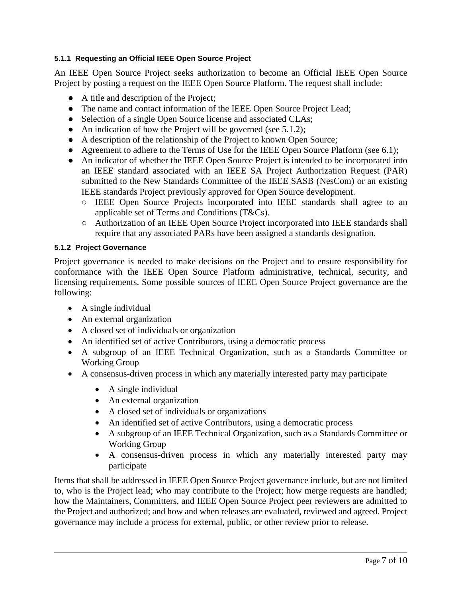#### **5.1.1 Requesting an Official IEEE Open Source Project**

An IEEE Open Source Project seeks authorization to become an Official IEEE Open Source Project by posting a request on the IEEE Open Source Platform. The request shall include:

- A title and description of the Project;
- The name and contact information of the IEEE Open Source Project Lead;
- Selection of a single Open Source license and associated CLAs;
- An indication of how the Project will be governed (see 5.1.2);
- A description of the relationship of the Project to known Open Source;
- Agreement to adhere to the Terms of Use for the IEEE Open Source Platform (see 6.1);
- An indicator of whether the IEEE Open Source Project is intended to be incorporated into an IEEE standard associated with an IEEE SA Project Authorization Request (PAR) submitted to the New Standards Committee of the IEEE SASB (NesCom) or an existing IEEE standards Project previously approved for Open Source development.
	- IEEE Open Source Projects incorporated into IEEE standards shall agree to an applicable set of Terms and Conditions (T&Cs).
	- Authorization of an IEEE Open Source Project incorporated into IEEE standards shall require that any associated PARs have been assigned a standards designation.

#### **5.1.2 Project Governance**

Project governance is needed to make decisions on the Project and to ensure responsibility for conformance with the IEEE Open Source Platform administrative, technical, security, and licensing requirements. Some possible sources of IEEE Open Source Project governance are the following:

- A single individual
- An external organization
- A closed set of individuals or organization
- An identified set of active Contributors, using a democratic process
- A subgroup of an IEEE Technical Organization, such as a Standards Committee or Working Group
- A consensus-driven process in which any materially interested party may participate
	- A single individual
	- An external organization
	- A closed set of individuals or organizations
	- An identified set of active Contributors, using a democratic process
	- A subgroup of an IEEE Technical Organization, such as a Standards Committee or Working Group
	- A consensus-driven process in which any materially interested party may participate

Items that shall be addressed in IEEE Open Source Project governance include, but are not limited to, who is the Project lead; who may contribute to the Project; how merge requests are handled; how the Maintainers, Committers, and IEEE Open Source Project peer reviewers are admitted to the Project and authorized; and how and when releases are evaluated, reviewed and agreed. Project governance may include a process for external, public, or other review prior to release.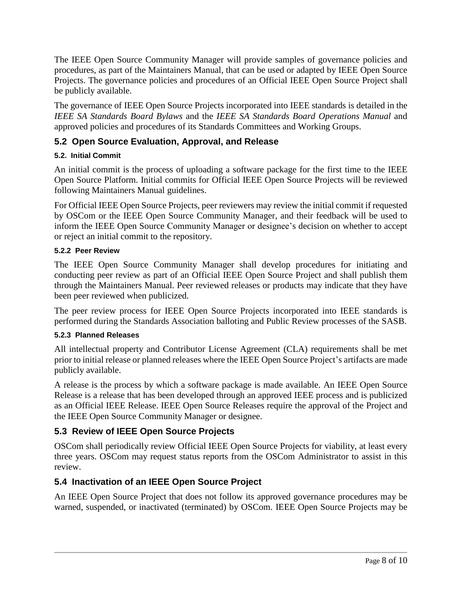The IEEE Open Source Community Manager will provide samples of governance policies and procedures, as part of the Maintainers Manual, that can be used or adapted by IEEE Open Source Projects. The governance policies and procedures of an Official IEEE Open Source Project shall be publicly available.

The governance of IEEE Open Source Projects incorporated into IEEE standards is detailed in the *IEEE SA Standards Board Bylaws* and the *IEEE SA Standards Board Operations Manual* and approved policies and procedures of its Standards Committees and Working Groups.

### **5.2 Open Source Evaluation, Approval, and Release**

#### **5.2. Initial Commit**

An initial commit is the process of uploading a software package for the first time to the IEEE Open Source Platform. Initial commits for Official IEEE Open Source Projects will be reviewed following Maintainers Manual guidelines.

For Official IEEE Open Source Projects, peer reviewers may review the initial commit if requested by OSCom or the IEEE Open Source Community Manager, and their feedback will be used to inform the IEEE Open Source Community Manager or designee's decision on whether to accept or reject an initial commit to the repository.

#### **5.2.2 Peer Review**

The IEEE Open Source Community Manager shall develop procedures for initiating and conducting peer review as part of an Official IEEE Open Source Project and shall publish them through the Maintainers Manual. Peer reviewed releases or products may indicate that they have been peer reviewed when publicized.

The peer review process for IEEE Open Source Projects incorporated into IEEE standards is performed during the Standards Association balloting and Public Review processes of the SASB.

#### **5.2.3 Planned Releases**

All intellectual property and Contributor License Agreement (CLA) requirements shall be met prior to initial release or planned releases where the IEEE Open Source Project's artifacts are made publicly available.

A release is the process by which a software package is made available. An IEEE Open Source Release is a release that has been developed through an approved IEEE process and is publicized as an Official IEEE Release. IEEE Open Source Releases require the approval of the Project and the IEEE Open Source Community Manager or designee.

### **5.3 Review of IEEE Open Source Projects**

OSCom shall periodically review Official IEEE Open Source Projects for viability, at least every three years. OSCom may request status reports from the OSCom Administrator to assist in this review.

### **5.4 Inactivation of an IEEE Open Source Project**

An IEEE Open Source Project that does not follow its approved governance procedures may be warned, suspended, or inactivated (terminated) by OSCom. IEEE Open Source Projects may be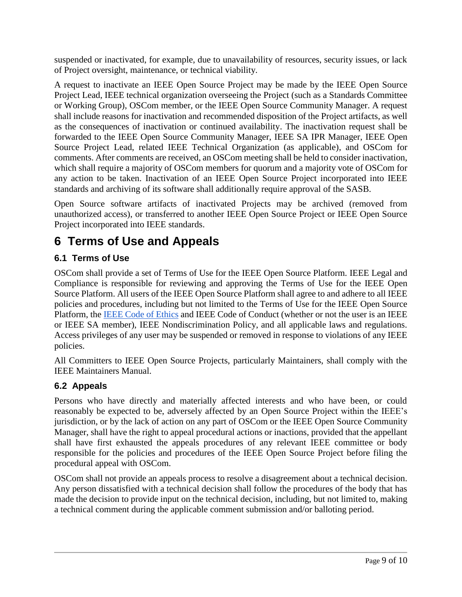suspended or inactivated, for example, due to unavailability of resources, security issues, or lack of Project oversight, maintenance, or technical viability.

A request to inactivate an IEEE Open Source Project may be made by the IEEE Open Source Project Lead, IEEE technical organization overseeing the Project (such as a Standards Committee or Working Group), OSCom member, or the IEEE Open Source Community Manager. A request shall include reasons for inactivation and recommended disposition of the Project artifacts, as well as the consequences of inactivation or continued availability. The inactivation request shall be forwarded to the IEEE Open Source Community Manager, IEEE SA IPR Manager, IEEE Open Source Project Lead, related IEEE Technical Organization (as applicable), and OSCom for comments. After comments are received, an OSCom meeting shall be held to consider inactivation, which shall require a majority of OSCom members for quorum and a majority vote of OSCom for any action to be taken. Inactivation of an IEEE Open Source Project incorporated into IEEE standards and archiving of its software shall additionally require approval of the SASB.

Open Source software artifacts of inactivated Projects may be archived (removed from unauthorized access), or transferred to another IEEE Open Source Project or IEEE Open Source Project incorporated into IEEE standards.

# **6 Terms of Use and Appeals**

# **6.1 Terms of Use**

OSCom shall provide a set of Terms of Use for the IEEE Open Source Platform. IEEE Legal and Compliance is responsible for reviewing and approving the Terms of Use for the IEEE Open Source Platform. All users of the IEEE Open Source Platform shall agree to and adhere to all IEEE policies and procedures, including but not limited to the Terms of Use for the IEEE Open Source Platform, the [IEEE Code of Ethics](https://www.ieee.org/about/corporate/governance/p7-8.html) and IEEE Code of Conduct (whether or not the user is an IEEE or IEEE SA member), IEEE Nondiscrimination Policy, and all applicable laws and regulations. Access privileges of any user may be suspended or removed in response to violations of any IEEE policies.

All Committers to IEEE Open Source Projects, particularly Maintainers, shall comply with the IEEE Maintainers Manual.

### **6.2 Appeals**

Persons who have directly and materially affected interests and who have been, or could reasonably be expected to be, adversely affected by an Open Source Project within the IEEE's jurisdiction, or by the lack of action on any part of OSCom or the IEEE Open Source Community Manager, shall have the right to appeal procedural actions or inactions, provided that the appellant shall have first exhausted the appeals procedures of any relevant IEEE committee or body responsible for the policies and procedures of the IEEE Open Source Project before filing the procedural appeal with OSCom.

OSCom shall not provide an appeals process to resolve a disagreement about a technical decision. Any person dissatisfied with a technical decision shall follow the procedures of the body that has made the decision to provide input on the technical decision, including, but not limited to, making a technical comment during the applicable comment submission and/or balloting period.